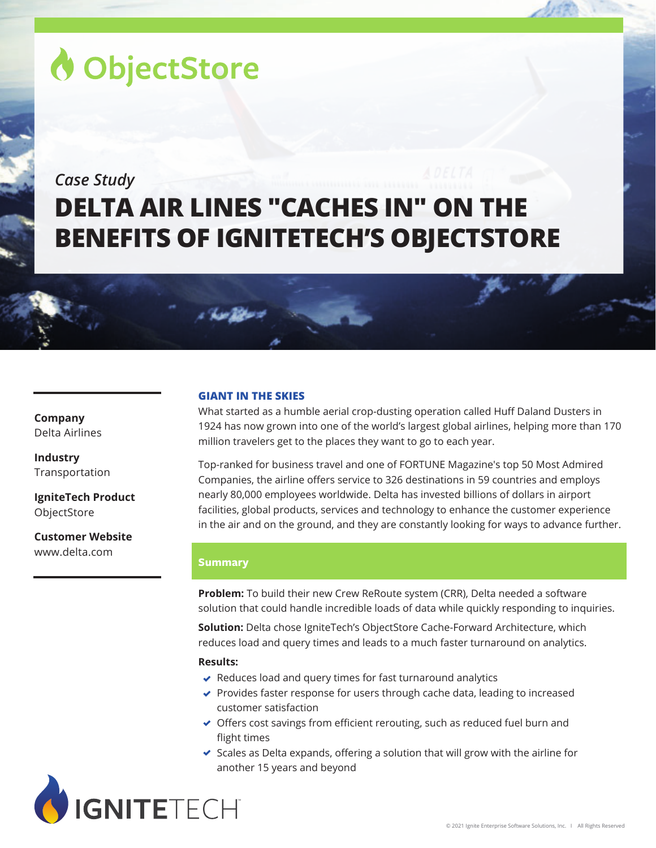# ObjectStore

# *Case Study* **DELTA AIR LINES "CACHES IN" ON THE BENEFITS OF IGNITETECH'S OBJECTSTORE**

**Company** Delta Airlines

**Industry** Transportation

**IgniteTech Product ObjectStore** 

**Customer Website** www.delta.com

# **GIANT IN THE SKIES**

What started as a humble aerial crop-dusting operation called Huff Daland Dusters in 1924 has now grown into one of the world's largest global airlines, helping more than 170 million travelers get to the places they want to go to each year.

Top-ranked for business travel and one of FORTUNE Magazine's top 50 Most Admired Companies, the airline offers service to 326 destinations in 59 countries and employs nearly 80,000 employees worldwide. Delta has invested billions of dollars in airport facilities, global products, services and technology to enhance the customer experience in the air and on the ground, and they are constantly looking for ways to advance further.

# **Summary**

**Problem:** To build their new Crew ReRoute system (CRR), Delta needed a software solution that could handle incredible loads of data while quickly responding to inquiries.

**Solution:** Delta chose IgniteTech's ObjectStore Cache-Forward Architecture, which reduces load and query times and leads to a much faster turnaround on analytics.

# **Results:**

- $\vee$  Reduces load and query times for fast turnaround analytics
- ◆ Provides faster response for users through cache data, leading to increased customer satisfaction
- ◆ Offers cost savings from efficient rerouting, such as reduced fuel burn and flight times
- $\triangleright$  Scales as Delta expands, offering a solution that will grow with the airline for another 15 years and beyond